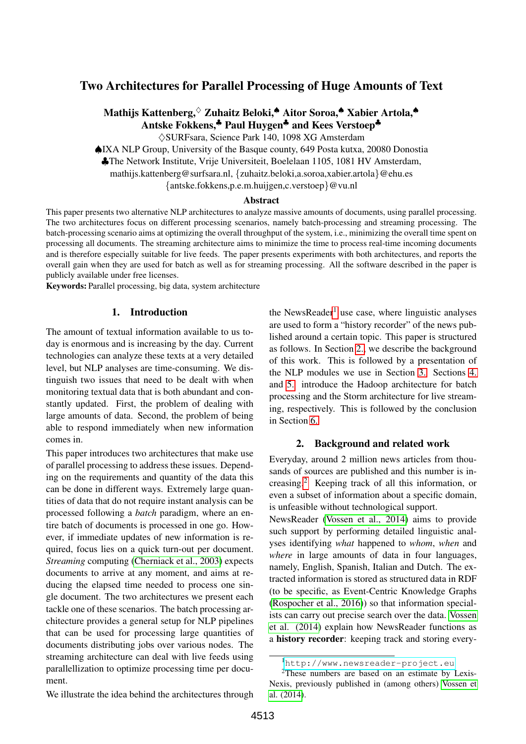# Two Architectures for Parallel Processing of Huge Amounts of Text

# Mathijs Kattenberg,♦ Zuhaitz Beloki,♠ Aitor Soroa,♠ Xabier Artola,♠ Antske Fokkens,<sup>♣</sup> Paul Huvgen<sup>♣</sup> and Kees Verstoep<sup>♣</sup>

♦SURFsara, Science Park 140, 1098 XG Amsterdam

♠IXA NLP Group, University of the Basque county, 649 Posta kutxa, 20080 Donostia

♣The Network Institute, Vrije Universiteit, Boelelaan 1105, 1081 HV Amsterdam,

mathijs.kattenberg@surfsara.nl, {zuhaitz.beloki,a.soroa,xabier.artola}@ehu.es

{antske.fokkens,p.e.m.huijgen,c.verstoep}@vu.nl

#### Abstract

This paper presents two alternative NLP architectures to analyze massive amounts of documents, using parallel processing. The two architectures focus on different processing scenarios, namely batch-processing and streaming processing. The batch-processing scenario aims at optimizing the overall throughput of the system, i.e., minimizing the overall time spent on processing all documents. The streaming architecture aims to minimize the time to process real-time incoming documents and is therefore especially suitable for live feeds. The paper presents experiments with both architectures, and reports the overall gain when they are used for batch as well as for streaming processing. All the software described in the paper is publicly available under free licenses.

Keywords: Parallel processing, big data, system architecture

#### 1. Introduction

The amount of textual information available to us today is enormous and is increasing by the day. Current technologies can analyze these texts at a very detailed level, but NLP analyses are time-consuming. We distinguish two issues that need to be dealt with when monitoring textual data that is both abundant and constantly updated. First, the problem of dealing with large amounts of data. Second, the problem of being able to respond immediately when new information comes in.

This paper introduces two architectures that make use of parallel processing to address these issues. Depending on the requirements and quantity of the data this can be done in different ways. Extremely large quantities of data that do not require instant analysis can be processed following a *batch* paradigm, where an entire batch of documents is processed in one go. However, if immediate updates of new information is required, focus lies on a quick turn-out per document. *Streaming* computing [\(Cherniack et al., 2003\)](#page-5-0) expects documents to arrive at any moment, and aims at reducing the elapsed time needed to process one single document. The two architectures we present each tackle one of these scenarios. The batch processing architecture provides a general setup for NLP pipelines that can be used for processing large quantities of documents distributing jobs over various nodes. The streaming architecture can deal with live feeds using parallellization to optimize processing time per document.

We illustrate the idea behind the architectures through

the NewsReader<sup>[1](#page-0-0)</sup> use case, where linguistic analyses are used to form a "history recorder" of the news published around a certain topic. This paper is structured as follows. In Section [2.,](#page-0-1) we describe the background of this work. This is followed by a presentation of the NLP modules we use in Section [3.](#page-1-0) Sections [4.](#page-2-0) and [5.](#page-4-0) introduce the Hadoop architecture for batch processing and the Storm architecture for live streaming, respectively. This is followed by the conclusion in Section [6.](#page-5-1)

#### 2. Background and related work

<span id="page-0-1"></span>Everyday, around 2 million news articles from thousands of sources are published and this number is increasing.[2](#page-0-2) Keeping track of all this information, or even a subset of information about a specific domain, is unfeasible without technological support.

NewsReader [\(Vossen et al., 2014\)](#page-6-0) aims to provide such support by performing detailed linguistic analyses identifying *what* happened to *whom*, *when* and *where* in large amounts of data in four languages, namely, English, Spanish, Italian and Dutch. The extracted information is stored as structured data in RDF (to be specific, as Event-Centric Knowledge Graphs [\(Rospocher et al., 2016\)](#page-6-1)) so that information specialists can carry out precise search over the data. [Vossen](#page-6-0) [et al. \(2014\)](#page-6-0) explain how NewsReader functions as a history recorder: keeping track and storing every-

<span id="page-0-2"></span><span id="page-0-0"></span><sup>1</sup><http://www.newsreader-project.eu>

<sup>&</sup>lt;sup>2</sup>These numbers are based on an estimate by Lexis-Nexis, previously published in (among others) [Vossen et](#page-6-0) [al. \(2014\)](#page-6-0).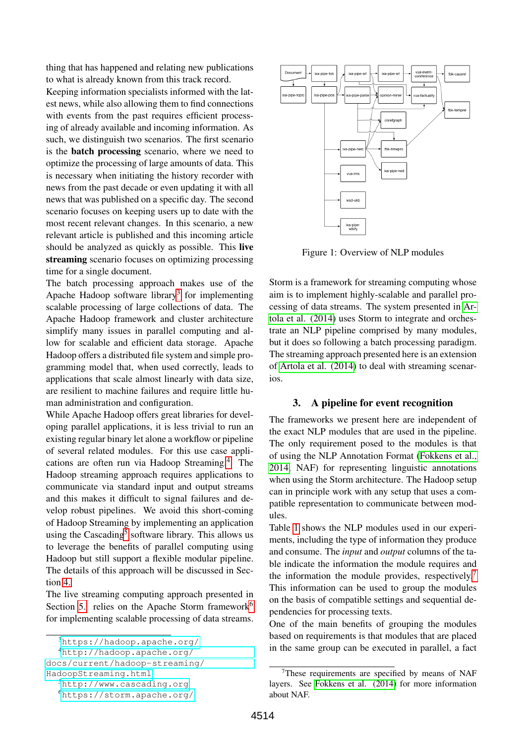thing that has happened and relating new publications to what is already known from this track record. Keeping information specialists informed with the latest news, while also allowing them to find connections with events from the past requires efficient processing of already available and incoming information. As such, we distinguish two scenarios. The first scenario is the batch processing scenario, where we need to optimize the processing of large amounts of data. This is necessary when initiating the history recorder with news from the past decade or even updating it with all news that was published on a specific day. The second scenario focuses on keeping users up to date with the most recent relevant changes. In this scenario, a new relevant article is published and this incoming article should be analyzed as quickly as possible. This live streaming scenario focuses on optimizing processing time for a single document.

The batch processing approach makes use of the Apache Hadoop software library<sup>[3](#page-1-1)</sup> for implementing scalable processing of large collections of data. The Apache Hadoop framework and cluster architecture simplify many issues in parallel computing and allow for scalable and efficient data storage. Apache Hadoop offers a distributed file system and simple programming model that, when used correctly, leads to applications that scale almost linearly with data size, are resilient to machine failures and require little human administration and configuration.

While Apache Hadoop offers great libraries for developing parallel applications, it is less trivial to run an existing regular binary let alone a workflow or pipeline of several related modules. For this use case applications are often run via Hadoop Streaming.[4](#page-1-2) The Hadoop streaming approach requires applications to communicate via standard input and output streams and this makes it difficult to signal failures and develop robust pipelines. We avoid this short-coming of Hadoop Streaming by implementing an application using the Cascading<sup>[5](#page-1-3)</sup> software library. This allows us to leverage the benefits of parallel computing using Hadoop but still support a flexible modular pipeline. The details of this approach will be discussed in Section [4.](#page-2-0)

The live streaming computing approach presented in Section [5.](#page-4-0) relies on the Apache Storm framework<sup>[6](#page-1-4)</sup> for implementing scalable processing of data streams.



<span id="page-1-6"></span>Figure 1: Overview of NLP modules

Storm is a framework for streaming computing whose aim is to implement highly-scalable and parallel processing of data streams. The system presented in [Ar](#page-5-2)[tola et al. \(2014\)](#page-5-2) uses Storm to integrate and orchestrate an NLP pipeline comprised by many modules, but it does so following a batch processing paradigm. The streaming approach presented here is an extension of [Artola et al. \(2014\)](#page-5-2) to deal with streaming scenarios.

#### <span id="page-1-0"></span>3. A pipeline for event recognition

The frameworks we present here are independent of the exact NLP modules that are used in the pipeline. The only requirement posed to the modules is that of using the NLP Annotation Format [\(Fokkens et al.,](#page-6-2) [2014,](#page-6-2) NAF) for representing linguistic annotations when using the Storm architecture. The Hadoop setup can in principle work with any setup that uses a compatible representation to communicate between modules.

Table [1](#page-2-1) shows the NLP modules used in our experiments, including the type of information they produce and consume. The *input* and *output* columns of the table indicate the information the module requires and the information the module provides, respectively.<sup>[7](#page-1-5)</sup> This information can be used to group the modules on the basis of compatible settings and sequential dependencies for processing texts.

One of the main benefits of grouping the modules based on requirements is that modules that are placed in the same group can be executed in parallel, a fact

<span id="page-1-2"></span><span id="page-1-1"></span><sup>3</sup><https://hadoop.apache.org/>

<sup>4</sup>[http://hadoop.apache.org/](http://hadoop.apache.org/docs/current/hadoop-streaming/HadoopStreaming.html)

[docs/current/hadoop-streaming/](http://hadoop.apache.org/docs/current/hadoop-streaming/HadoopStreaming.html)

[HadoopStreaming.html](http://hadoop.apache.org/docs/current/hadoop-streaming/HadoopStreaming.html)

<span id="page-1-3"></span><sup>5</sup><http://www.cascading.org>

<span id="page-1-4"></span><sup>6</sup><https://storm.apache.org/>

<span id="page-1-5"></span><sup>7</sup>These requirements are specified by means of NAF layers. See [Fokkens et al. \(2014\)](#page-6-2) for more information about NAF.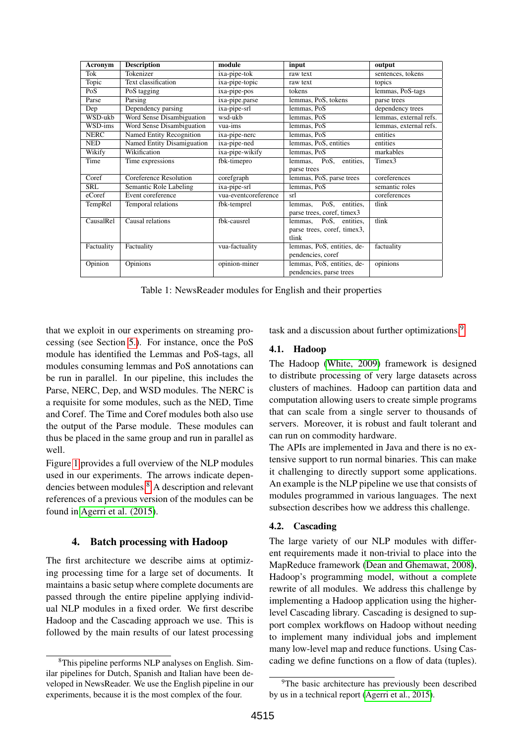| Acronym     | <b>Description</b>         | module               | input                       | output                 |
|-------------|----------------------------|----------------------|-----------------------------|------------------------|
| Tok         | Tokenizer                  | ixa-pipe-tok         | raw text                    | sentences, tokens      |
| Topic       | Text classification        | ixa-pipe-topic       | raw text                    | topics                 |
| PoS         | PoS tagging                | ixa-pipe-pos         | tokens                      | lemmas, PoS-tags       |
| Parse       | Parsing                    | ixa-pipe.parse       | lemmas, PoS, tokens         | parse trees            |
| Dep         | Dependency parsing         | ixa-pipe-srl         | lemmas, PoS                 | dependency trees       |
| WSD-ukb     | Word Sense Disambiguation  | wsd-ukb              | lemmas, PoS                 | lemmas, external refs. |
| WSD-ims     | Word Sense Disambiguation  | vua-ims              | lemmas, PoS                 | lemmas, external refs. |
| <b>NERC</b> | Named Entity Recognition   | ixa-pipe-nerc        | lemmas, PoS                 | entities               |
| <b>NED</b>  | Named Entity Disamiguation | ixa-pipe-ned         | lemmas, PoS, entities       | entities               |
| Wikify      | Wikification               | ixa-pipe-wikify      | lemmas, PoS                 | markables              |
| Time        | Time expressions           | fbk-timepro          | lemmas, PoS, entities,      | Timex3                 |
|             |                            |                      | parse trees                 |                        |
| Coref       | Coreference Resolution     | corefgraph           | lemmas, PoS, parse trees    | coreferences           |
| SRL         | Semantic Role Labeling     | ixa-pipe-srl         | lemmas, PoS                 | semantic roles         |
| eCoref      | Event coreference          | vua-eventcoreference | srl                         | coreferences           |
| TempRel     | Temporal relations         | fbk-temprel          | PoS, entities,<br>lemmas.   | tlink                  |
|             |                            |                      | parse trees, coref, timex3  |                        |
| CausalRel   | Causal relations           | fbk-causrel          | lemmas, PoS, entities,      | tlink                  |
|             |                            |                      | parse trees, coref, timex3, |                        |
|             |                            |                      | tlink                       |                        |
| Factuality  | Factuality                 | vua-factuality       | lemmas, PoS, entities, de-  | factuality             |
|             |                            |                      | pendencies, coref           |                        |
| Opinion     | Opinions                   | opinion-miner        | lemmas, PoS, entities, de-  | opinions               |
|             |                            |                      | pendencies, parse trees     |                        |

<span id="page-2-1"></span>Table 1: NewsReader modules for English and their properties

that we exploit in our experiments on streaming processing (see Section [5.\)](#page-4-0). For instance, once the PoS module has identified the Lemmas and PoS-tags, all modules consuming lemmas and PoS annotations can be run in parallel. In our pipeline, this includes the Parse, NERC, Dep, and WSD modules. The NERC is a requisite for some modules, such as the NED, Time and Coref. The Time and Coref modules both also use the output of the Parse module. These modules can thus be placed in the same group and run in parallel as well.

Figure [1](#page-1-6) provides a full overview of the NLP modules used in our experiments. The arrows indicate dependencies between modules.[8](#page-2-2) A description and relevant references of a previous version of the modules can be found in [Agerri et al. \(2015\)](#page-5-3).

## <span id="page-2-0"></span>4. Batch processing with Hadoop

The first architecture we describe aims at optimizing processing time for a large set of documents. It maintains a basic setup where complete documents are passed through the entire pipeline applying individual NLP modules in a fixed order. We first describe Hadoop and the Cascading approach we use. This is followed by the main results of our latest processing

task and a discussion about further optimizations.<sup>[9](#page-2-3)</sup>

## 4.1. Hadoop

The Hadoop [\(White, 2009\)](#page-6-3) framework is designed to distribute processing of very large datasets across clusters of machines. Hadoop can partition data and computation allowing users to create simple programs that can scale from a single server to thousands of servers. Moreover, it is robust and fault tolerant and can run on commodity hardware.

The APIs are implemented in Java and there is no extensive support to run normal binaries. This can make it challenging to directly support some applications. An example is the NLP pipeline we use that consists of modules programmed in various languages. The next subsection describes how we address this challenge.

## 4.2. Cascading

The large variety of our NLP modules with different requirements made it non-trivial to place into the MapReduce framework [\(Dean and Ghemawat, 2008\)](#page-5-4), Hadoop's programming model, without a complete rewrite of all modules. We address this challenge by implementing a Hadoop application using the higherlevel Cascading library. Cascading is designed to support complex workflows on Hadoop without needing to implement many individual jobs and implement many low-level map and reduce functions. Using Cascading we define functions on a flow of data (tuples).

<span id="page-2-2"></span><sup>8</sup>This pipeline performs NLP analyses on English. Similar pipelines for Dutch, Spanish and Italian have been developed in NewsReader. We use the English pipeline in our experiments, because it is the most complex of the four.

<span id="page-2-3"></span><sup>&</sup>lt;sup>9</sup>The basic architecture has previously been described by us in a technical report [\(Agerri et al., 2015\)](#page-5-3).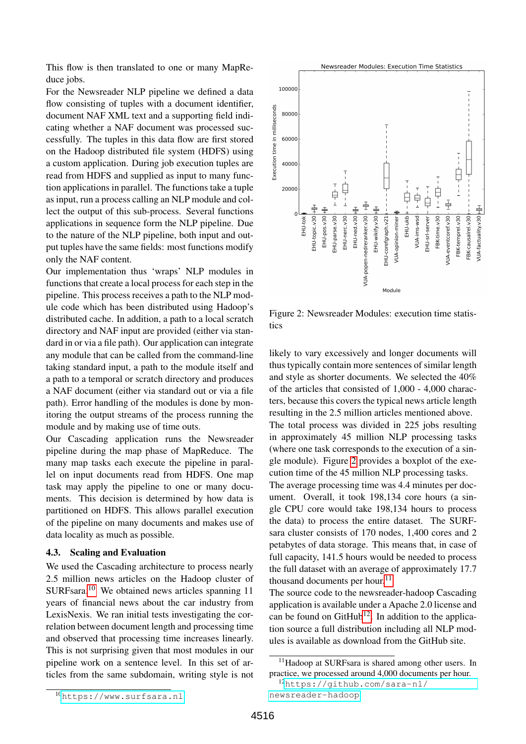This flow is then translated to one or many MapReduce jobs.

For the Newsreader NLP pipeline we defined a data flow consisting of tuples with a document identifier, document NAF XML text and a supporting field indicating whether a NAF document was processed successfully. The tuples in this data flow are first stored on the Hadoop distributed file system (HDFS) using a custom application. During job execution tuples are read from HDFS and supplied as input to many function applications in parallel. The functions take a tuple as input, run a process calling an NLP module and collect the output of this sub-process. Several functions applications in sequence form the NLP pipeline. Due to the nature of the NLP pipeline, both input and output tuples have the same fields: most functions modify only the NAF content.

Our implementation thus 'wraps' NLP modules in functions that create a local process for each step in the pipeline. This process receives a path to the NLP module code which has been distributed using Hadoop's distributed cache. In addition, a path to a local scratch directory and NAF input are provided (either via standard in or via a file path). Our application can integrate any module that can be called from the command-line taking standard input, a path to the module itself and a path to a temporal or scratch directory and produces a NAF document (either via standard out or via a file path). Error handling of the modules is done by monitoring the output streams of the process running the module and by making use of time outs.

Our Cascading application runs the Newsreader pipeline during the map phase of MapReduce. The many map tasks each execute the pipeline in parallel on input documents read from HDFS. One map task may apply the pipeline to one or many documents. This decision is determined by how data is partitioned on HDFS. This allows parallel execution of the pipeline on many documents and makes use of data locality as much as possible.

#### 4.3. Scaling and Evaluation

<span id="page-3-0"></span>We used the Cascading architecture to process nearly 2.5 million news articles on the Hadoop cluster of SURFsara.[10](#page-3-0) We obtained news articles spanning 11 years of financial news about the car industry from LexisNexis. We ran initial tests investigating the correlation between document length and processing time and observed that processing time increases linearly. This is not surprising given that most modules in our pipeline work on a sentence level. In this set of articles from the same subdomain, writing style is not



<span id="page-3-1"></span>Figure 2: Newsreader Modules: execution time statistics

likely to vary excessively and longer documents will thus typically contain more sentences of similar length and style as shorter documents. We selected the 40% of the articles that consisted of 1,000 - 4,000 characters, because this covers the typical news article length resulting in the 2.5 million articles mentioned above. The total process was divided in 225 jobs resulting in approximately 45 million NLP processing tasks (where one task corresponds to the execution of a single module). Figure [2](#page-3-1) provides a boxplot of the execution time of the 45 million NLP processing tasks.

The average processing time was 4.4 minutes per document. Overall, it took 198,134 core hours (a single CPU core would take 198,134 hours to process the data) to process the entire dataset. The SURFsara cluster consists of 170 nodes, 1,400 cores and 2 petabytes of data storage. This means that, in case of full capacity, 141.5 hours would be needed to process the full dataset with an average of approximately 17.7 thousand documents per hour. $^{11}$  $^{11}$  $^{11}$ 

The source code to the newsreader-hadoop Cascading application is available under a Apache 2.0 license and can be found on  $G$ it $H$ ub<sup>[12](#page-3-3)</sup>. In addition to the application source a full distribution including all NLP modules is available as download from the GitHub site.

<span id="page-3-2"></span><sup>11</sup>Hadoop at SURFsara is shared among other users. In practice, we processed around 4,000 documents per hour.

<span id="page-3-3"></span><sup>12</sup>[https://github.com/sara-nl/](https://github.com/sara-nl/newsreader-hadoop) [newsreader-hadoop](https://github.com/sara-nl/newsreader-hadoop)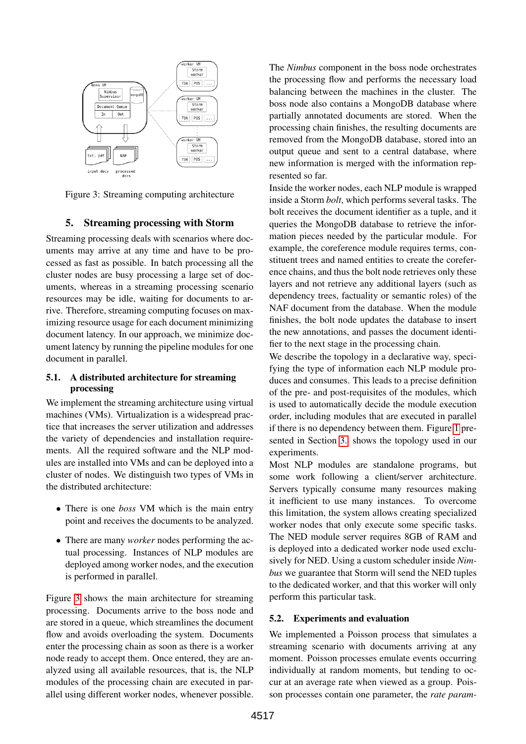

<span id="page-4-1"></span>Figure 3: Streaming computing architecture

#### 5. Streaming processing with Storm

<span id="page-4-0"></span>Streaming processing deals with scenarios where documents may arrive at any time and have to be processed as fast as possible. In batch processing all the cluster nodes are busy processing a large set of documents, whereas in a streaming processing scenario resources may be idle, waiting for documents to arrive. Therefore, streaming computing focuses on maximizing resource usage for each document minimizing document latency. In our approach, we minimize document latency by running the pipeline modules for one document in parallel.

#### 5.1. A distributed architecture for streaming processing

We implement the streaming architecture using virtual machines (VMs). Virtualization is a widespread practice that increases the server utilization and addresses the variety of dependencies and installation requirements. All the required software and the NLP modules are installed into VMs and can be deployed into a cluster of nodes. We distinguish two types of VMs in the distributed architecture:

- There is one *boss* VM which is the main entry point and receives the documents to be analyzed.
- There are many *worker* nodes performing the actual processing. Instances of NLP modules are deployed among worker nodes, and the execution is performed in parallel.

Figure [3](#page-4-1) shows the main architecture for streaming processing. Documents arrive to the boss node and are stored in a queue, which streamlines the document flow and avoids overloading the system. Documents enter the processing chain as soon as there is a worker node ready to accept them. Once entered, they are analyzed using all available resources, that is, the NLP modules of the processing chain are executed in parallel using different worker nodes, whenever possible.

The *Nimbus* component in the boss node orchestrates the processing flow and performs the necessary load balancing between the machines in the cluster. The boss node also contains a MongoDB database where partially annotated documents are stored. When the processing chain finishes, the resulting documents are removed from the MongoDB database, stored into an output queue and sent to a central database, where new information is merged with the information represented so far.

Inside the worker nodes, each NLP module is wrapped inside a Storm *bolt*, which performs several tasks. The bolt receives the document identifier as a tuple, and it queries the MongoDB database to retrieve the information pieces needed by the particular module. For example, the coreference module requires terms, constituent trees and named entities to create the coreference chains, and thus the bolt node retrieves only these layers and not retrieve any additional layers (such as dependency trees, factuality or semantic roles) of the NAF document from the database. When the module finishes, the bolt node updates the database to insert the new annotations, and passes the document identifier to the next stage in the processing chain.

We describe the topology in a declarative way, specifying the type of information each NLP module produces and consumes. This leads to a precise definition of the pre- and post-requisites of the modules, which is used to automatically decide the module execution order, including modules that are executed in parallel if there is no dependency between them. Figure [1](#page-1-6) presented in Section [3.](#page-1-0) shows the topology used in our experiments.

Most NLP modules are standalone programs, but some work following a client/server architecture. Servers typically consume many resources making it inefficient to use many instances. To overcome this limitation, the system allows creating specialized worker nodes that only execute some specific tasks. The NED module server requires 8GB of RAM and is deployed into a dedicated worker node used exclusively for NED. Using a custom scheduler inside *Nimbus* we guarantee that Storm will send the NED tuples to the dedicated worker, and that this worker will only perform this particular task.

#### 5.2. Experiments and evaluation

We implemented a Poisson process that simulates a streaming scenario with documents arriving at any moment. Poisson processes emulate events occurring individually at random moments, but tending to occur at an average rate when viewed as a group. Poisson processes contain one parameter, the *rate param-*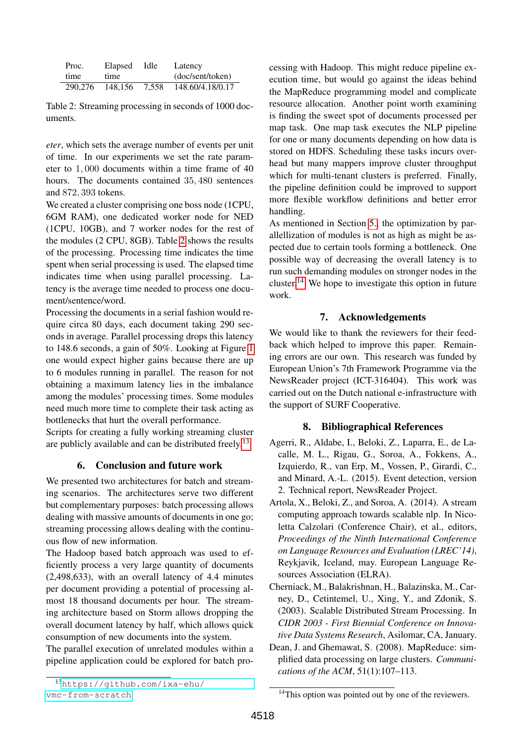| Proc.   | Elapsed | Idle  | Latency          |
|---------|---------|-------|------------------|
| time    | time    |       | (doc/sent/token) |
| 290,276 | 148.156 | 7.558 | 148.60/4.18/0.17 |

<span id="page-5-5"></span>Table 2: Streaming processing in seconds of 1000 documents.

*eter*, which sets the average number of events per unit of time. In our experiments we set the rate parameter to 1, 000 documents within a time frame of 40 hours. The documents contained 35, 480 sentences and 872, 393 tokens.

We created a cluster comprising one boss node (1CPU, 6GM RAM), one dedicated worker node for NED (1CPU, 10GB), and 7 worker nodes for the rest of the modules (2 CPU, 8GB). Table [2](#page-5-5) shows the results of the processing. Processing time indicates the time spent when serial processing is used. The elapsed time indicates time when using parallel processing. Latency is the average time needed to process one document/sentence/word.

Processing the documents in a serial fashion would require circa 80 days, each document taking 290 seconds in average. Parallel processing drops this latency to 148.6 seconds, a gain of 50%. Looking at Figure [1](#page-1-6) one would expect higher gains because there are up to 6 modules running in parallel. The reason for not obtaining a maximum latency lies in the imbalance among the modules' processing times. Some modules need much more time to complete their task acting as bottlenecks that hurt the overall performance.

Scripts for creating a fully working streaming cluster are publicly available and can be distributed freely.<sup>[13](#page-5-6)</sup>

## 6. Conclusion and future work

<span id="page-5-1"></span>We presented two architectures for batch and streaming scenarios. The architectures serve two different but complementary purposes: batch processing allows dealing with massive amounts of documents in one go; streaming processing allows dealing with the continuous flow of new information.

The Hadoop based batch approach was used to efficiently process a very large quantity of documents (2,498,633), with an overall latency of 4.4 minutes per document providing a potential of processing almost 18 thousand documents per hour. The streaming architecture based on Storm allows dropping the overall document latency by half, which allows quick consumption of new documents into the system.

The parallel execution of unrelated modules within a pipeline application could be explored for batch processing with Hadoop. This might reduce pipeline execution time, but would go against the ideas behind the MapReduce programming model and complicate resource allocation. Another point worth examining is finding the sweet spot of documents processed per map task. One map task executes the NLP pipeline for one or many documents depending on how data is stored on HDFS. Scheduling these tasks incurs overhead but many mappers improve cluster throughput which for multi-tenant clusters is preferred. Finally, the pipeline definition could be improved to support more flexible workflow definitions and better error handling.

As mentioned in Section [5.,](#page-4-0) the optimization by parallellization of modules is not as high as might be aspected due to certain tools forming a bottleneck. One possible way of decreasing the overall latency is to run such demanding modules on stronger nodes in the cluster.<sup>[14](#page-5-7)</sup> We hope to investigate this option in future work.

## 7. Acknowledgements

We would like to thank the reviewers for their feedback which helped to improve this paper. Remaining errors are our own. This research was funded by European Union's 7th Framework Programme via the NewsReader project (ICT-316404). This work was carried out on the Dutch national e-infrastructure with the support of SURF Cooperative.

# 8. Bibliographical References

- <span id="page-5-3"></span>Agerri, R., Aldabe, I., Beloki, Z., Laparra, E., de Lacalle, M. L., Rigau, G., Soroa, A., Fokkens, A., Izquierdo, R., van Erp, M., Vossen, P., Girardi, C., and Minard, A.-L. (2015). Event detection, version 2. Technical report, NewsReader Project.
- <span id="page-5-2"></span>Artola, X., Beloki, Z., and Soroa, A. (2014). A stream computing approach towards scalable nlp. In Nicoletta Calzolari (Conference Chair), et al., editors, *Proceedings of the Ninth International Conference on Language Resources and Evaluation (LREC'14)*, Reykjavik, Iceland, may. European Language Resources Association (ELRA).
- <span id="page-5-0"></span>Cherniack, M., Balakrishnan, H., Balazinska, M., Carney, D., Cetintemel, U., Xing, Y., and Zdonik, S. (2003). Scalable Distributed Stream Processing. In *CIDR 2003 - First Biennial Conference on Innovative Data Systems Research*, Asilomar, CA, January.
- <span id="page-5-4"></span>Dean, J. and Ghemawat, S. (2008). MapReduce: simplified data processing on large clusters. *Communications of the ACM*, 51(1):107–113.

<span id="page-5-6"></span><sup>13</sup>[https://github.com/ixa-ehu/](https://github.com/ixa-ehu/vmc-from-scratch) [vmc-from-scratch](https://github.com/ixa-ehu/vmc-from-scratch)

<span id="page-5-7"></span><sup>&</sup>lt;sup>14</sup>This option was pointed out by one of the reviewers.